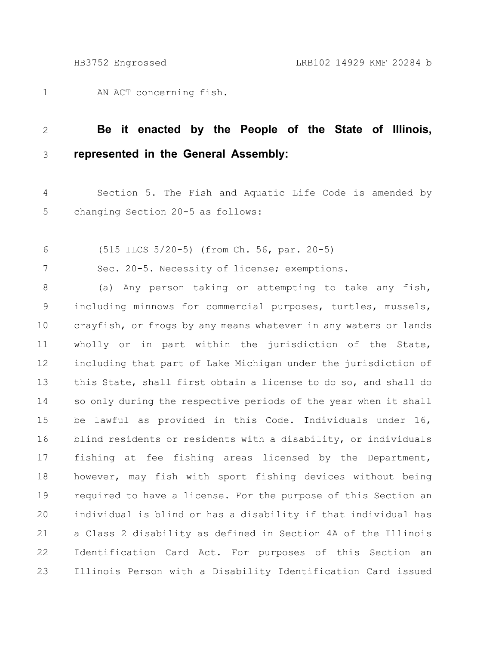AN ACT concerning fish. 1

## **Be it enacted by the People of the State of Illinois, represented in the General Assembly:** 2 3

Section 5. The Fish and Aquatic Life Code is amended by changing Section 20-5 as follows: 4 5

(515 ILCS 5/20-5) (from Ch. 56, par. 20-5) 6

Sec. 20-5. Necessity of license; exemptions. 7

(a) Any person taking or attempting to take any fish, including minnows for commercial purposes, turtles, mussels, crayfish, or frogs by any means whatever in any waters or lands wholly or in part within the jurisdiction of the State, including that part of Lake Michigan under the jurisdiction of this State, shall first obtain a license to do so, and shall do so only during the respective periods of the year when it shall be lawful as provided in this Code. Individuals under 16, blind residents or residents with a disability, or individuals fishing at fee fishing areas licensed by the Department, however, may fish with sport fishing devices without being required to have a license. For the purpose of this Section an individual is blind or has a disability if that individual has a Class 2 disability as defined in Section 4A of the Illinois Identification Card Act. For purposes of this Section an Illinois Person with a Disability Identification Card issued 8 9 10 11 12 13 14 15 16 17 18 19 20 21 22 23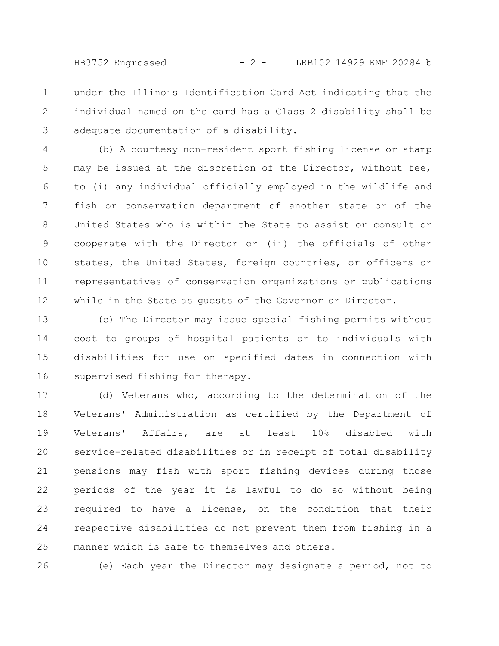HB3752 Engrossed - 2 - LRB102 14929 KMF 20284 b

under the Illinois Identification Card Act indicating that the individual named on the card has a Class 2 disability shall be adequate documentation of a disability. 1 2 3

(b) A courtesy non-resident sport fishing license or stamp may be issued at the discretion of the Director, without fee, to (i) any individual officially employed in the wildlife and fish or conservation department of another state or of the United States who is within the State to assist or consult or cooperate with the Director or (ii) the officials of other states, the United States, foreign countries, or officers or representatives of conservation organizations or publications while in the State as guests of the Governor or Director. 4 5 6 7 8 9 10 11 12

(c) The Director may issue special fishing permits without cost to groups of hospital patients or to individuals with disabilities for use on specified dates in connection with supervised fishing for therapy. 13 14 15 16

(d) Veterans who, according to the determination of the Veterans' Administration as certified by the Department of Veterans' Affairs, are at least 10% disabled with service-related disabilities or in receipt of total disability pensions may fish with sport fishing devices during those periods of the year it is lawful to do so without being required to have a license, on the condition that their respective disabilities do not prevent them from fishing in a manner which is safe to themselves and others. 17 18 19 20 21 22 23 24 25

(e) Each year the Director may designate a period, not to 26